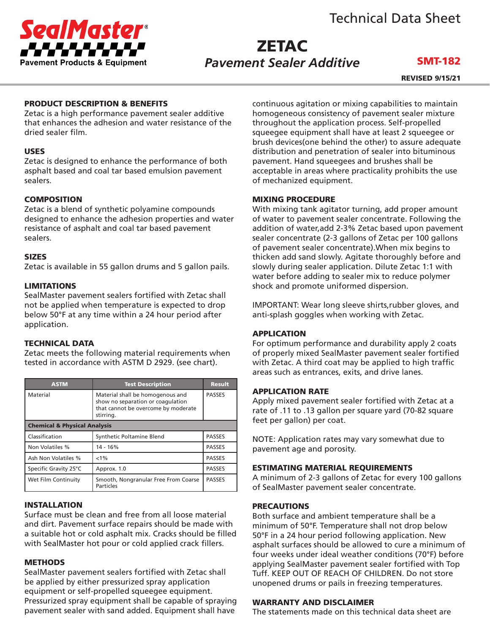



## **ZETAC** *Pavement Sealer Additive*

## SMT-182

REVISED 9/15/21

#### PRODUCT DESCRIPTION & BENEFITS

Zetac is a high performance pavement sealer additive that enhances the adhesion and water resistance of the dried sealer film.

## USES

Zetac is designed to enhance the performance of both asphalt based and coal tar based emulsion pavement sealers.

## COMPOSITION

Zetac is a blend of synthetic polyamine compounds designed to enhance the adhesion properties and water resistance of asphalt and coal tar based pavement sealers.

#### SIZES

Zetac is available in 55 gallon drums and 5 gallon pails.

#### LIMITATIONS

SealMaster pavement sealers fortified with Zetac shall not be applied when temperature is expected to drop below 50°F at any time within a 24 hour period after application.

## TECHNICAL DATA

Zetac meets the following material requirements when tested in accordance with ASTM D 2929. (see chart).

| <b>ASTM</b>                             | <b>Test Description</b>                                                                                                   | <b>Result</b> |
|-----------------------------------------|---------------------------------------------------------------------------------------------------------------------------|---------------|
| Material                                | Material shall be homogenous and<br>show no separation or coaqulation<br>that cannot be overcome by moderate<br>stirring. | <b>PASSES</b> |
| <b>Chemical &amp; Physical Analysis</b> |                                                                                                                           |               |
| Classification                          | Synthetic Poltamine Blend                                                                                                 | <b>PASSES</b> |
| Non Volatiles %                         | 14 - 16%                                                                                                                  | <b>PASSES</b> |
| Ash Non Volatiles %                     | $< 1\%$                                                                                                                   | <b>PASSES</b> |
| Specific Gravity 25°C                   | Approx. 1.0                                                                                                               | <b>PASSES</b> |
| Wet Film Continuity                     | Smooth, Nongranular Free From Coarse<br>Particles                                                                         | <b>PASSES</b> |

#### INSTALLATION

Surface must be clean and free from all loose material and dirt. Pavement surface repairs should be made with a suitable hot or cold asphalt mix. Cracks should be filled with SealMaster hot pour or cold applied crack fillers.

#### **METHODS**

SealMaster pavement sealers fortified with Zetac shall be applied by either pressurized spray application equipment or self-propelled squeegee equipment. Pressurized spray equipment shall be capable of spraying pavement sealer with sand added. Equipment shall have

continuous agitation or mixing capabilities to maintain homogeneous consistency of pavement sealer mixture throughout the application process. Self-propelled squeegee equipment shall have at least 2 squeegee or brush devices(one behind the other) to assure adequate distribution and penetration of sealer into bituminous pavement. Hand squeegees and brushes shall be acceptable in areas where practicality prohibits the use of mechanized equipment.

#### MIXING PROCEDURE

With mixing tank agitator turning, add proper amount of water to pavement sealer concentrate. Following the addition of water,add 2-3% Zetac based upon pavement sealer concentrate (2-3 gallons of Zetac per 100 gallons of pavement sealer concentrate).When mix begins to thicken add sand slowly. Agitate thoroughly before and slowly during sealer application. Dilute Zetac 1:1 with water before adding to sealer mix to reduce polymer shock and promote uniformed dispersion.

IMPORTANT: Wear long sleeve shirts,rubber gloves, and anti-splash goggles when working with Zetac.

## APPLICATION

For optimum performance and durability apply 2 coats of properly mixed SealMaster pavement sealer fortified with Zetac. A third coat may be applied to high traffic areas such as entrances, exits, and drive lanes.

#### APPLICATION RATE

Apply mixed pavement sealer fortified with Zetac at a rate of .11 to .13 gallon per square yard (70-82 square feet per gallon) per coat.

NOTE: Application rates may vary somewhat due to pavement age and porosity.

#### ESTIMATING MATERIAL REQUIREMENTS

A minimum of 2-3 gallons of Zetac for every 100 gallons of SealMaster pavement sealer concentrate.

#### PRECAUTIONS

Both surface and ambient temperature shall be a minimum of 50°F. Temperature shall not drop below 50°F in a 24 hour period following application. New asphalt surfaces should be allowed to cure a minimum of four weeks under ideal weather conditions (70°F) before applying SealMaster pavement sealer fortified with Top Tuff. KEEP OUT OF REACH OF CHILDREN. Do not store unopened drums or pails in freezing temperatures.

#### WARRANTY AND DISCLAIMER

The statements made on this technical data sheet are